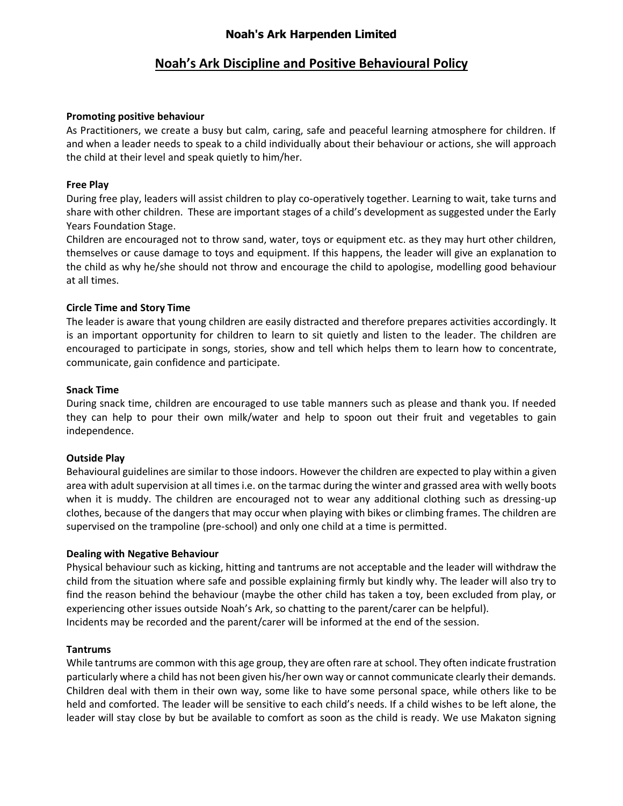## **Noah's Ark Harpenden Limited**

# **Noah's Ark Discipline and Positive Behavioural Policy**

#### **Promoting positive behaviour**

As Practitioners, we create a busy but calm, caring, safe and peaceful learning atmosphere for children. If and when a leader needs to speak to a child individually about their behaviour or actions, she will approach the child at their level and speak quietly to him/her.

## **Free Play**

During free play, leaders will assist children to play co-operatively together. Learning to wait, take turns and share with other children. These are important stages of a child's development as suggested under the Early Years Foundation Stage.

Children are encouraged not to throw sand, water, toys or equipment etc. as they may hurt other children, themselves or cause damage to toys and equipment. If this happens, the leader will give an explanation to the child as why he/she should not throw and encourage the child to apologise, modelling good behaviour at all times.

## **Circle Time and Story Time**

The leader is aware that young children are easily distracted and therefore prepares activities accordingly. It is an important opportunity for children to learn to sit quietly and listen to the leader. The children are encouraged to participate in songs, stories, show and tell which helps them to learn how to concentrate, communicate, gain confidence and participate.

#### **Snack Time**

During snack time, children are encouraged to use table manners such as please and thank you. If needed they can help to pour their own milk/water and help to spoon out their fruit and vegetables to gain independence.

#### **Outside Play**

Behavioural guidelines are similar to those indoors. However the children are expected to play within a given area with adult supervision at all times i.e. on the tarmac during the winter and grassed area with welly boots when it is muddy. The children are encouraged not to wear any additional clothing such as dressing-up clothes, because of the dangers that may occur when playing with bikes or climbing frames. The children are supervised on the trampoline (pre-school) and only one child at a time is permitted.

#### **Dealing with Negative Behaviour**

Physical behaviour such as kicking, hitting and tantrums are not acceptable and the leader will withdraw the child from the situation where safe and possible explaining firmly but kindly why. The leader will also try to find the reason behind the behaviour (maybe the other child has taken a toy, been excluded from play, or experiencing other issues outside Noah's Ark, so chatting to the parent/carer can be helpful). Incidents may be recorded and the parent/carer will be informed at the end of the session.

#### **Tantrums**

While tantrums are common with this age group, they are often rare at school. They often indicate frustration particularly where a child has not been given his/her own way or cannot communicate clearly their demands. Children deal with them in their own way, some like to have some personal space, while others like to be held and comforted. The leader will be sensitive to each child's needs. If a child wishes to be left alone, the leader will stay close by but be available to comfort as soon as the child is ready. We use Makaton signing